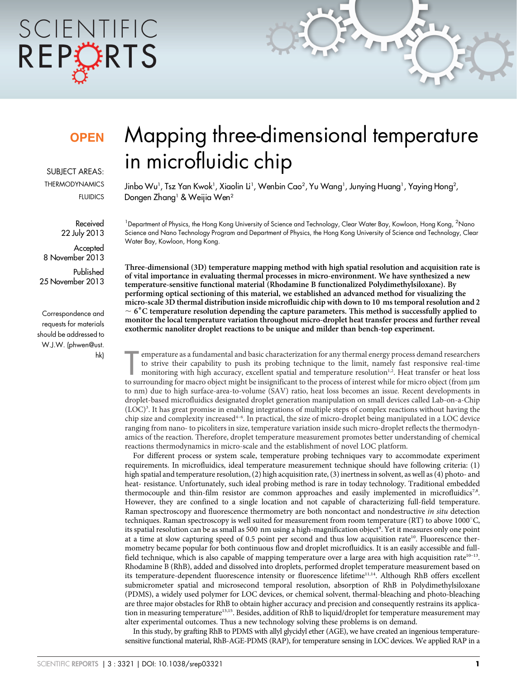# SCIENTIFIC REPCRTS

### **OPEN**

SUBJECT AREAS: THERMODYNAMICS FLUIDICS

> Received 22 July 2013

**Accepted** 8 November 2013

Published 25 November 2013

Correspondence and requests for materials should be addressed to W.J.W. (phwen@ust. hk)

## Mapping three-dimensional temperature in microfluidic chip

Jinbo Wu', Tsz Yan Kwok', Xiaolin Li', Wenbin Cao $^2$ , Yu Wang', Junying Huang', Yaying Hong $^2$ , Dongen Zhang<sup>1</sup> & Weijia Wen<sup>2</sup>

<sup>1</sup> Department of Physics, the Hong Kong University of Science and Technology, Clear Water Bay, Kowloon, Hong Kong, <sup>2</sup>Nanc Science and Nano Technology Program and Department of Physics, the Hong Kong University of Science and Technology, Clear Water Bay, Kowloon, Hong Kong.

Three-dimensional (3D) temperature mapping method with high spatial resolution and acquisition rate is of vital importance in evaluating thermal processes in micro-environment. We have synthesized a new temperature-sensitive functional material (Rhodamine B functionalized Polydimethylsiloxane). By performing optical sectioning of this material, we established an advanced method for visualizing the micro-scale 3D thermal distribution inside microfluidic chip with down to 10 ms temporal resolution and 2  $\sim$  6 $\degree$ C temperature resolution depending the capture parameters. This method is successfully applied to monitor the local temperature variation throughout micro-droplet heat transfer process and further reveal exothermic nanoliter droplet reactions to be unique and milder than bench-top experiment.

emperature as a fundamental and basic characterization for any thermal energy process demand researchers<br>to strive their capability to push its probing technique to the limit, namely fast responsive real-time<br>monitoring wi emperature as a fundamental and basic characterization for any thermal energy process demand researchers to strive their capability to push its probing technique to the limit, namely fast responsive real-time monitoring with high accuracy, excellent spatial and temperature resolution<sup>1,2</sup>. Heat transfer or heat loss to nm) due to high surface-area-to-volume (SAV) ratio, heat loss becomes an issue. Recent developments in droplet-based microfluidics designated droplet generation manipulation on small devices called Lab-on-a-Chip (LOC)3 . It has great promise in enabling integrations of multiple steps of complex reactions without having the chip size and complexity increased<sup>4-6</sup>. In practical, the size of micro-droplet being manipulated in a LOC device ranging from nano- to picoliters in size, temperature variation inside such micro-droplet reflects the thermodynamics of the reaction. Therefore, droplet temperature measurement promotes better understanding of chemical reactions thermodynamics in micro-scale and the establishment of novel LOC platform.

For different process or system scale, temperature probing techniques vary to accommodate experiment requirements. In microfluidics, ideal temperature measurement technique should have following criteria: (1) high spatial and temperature resolution, (2) high acquisition rate, (3) inertness in solvent, as well as (4) photo- and heat- resistance. Unfortunately, such ideal probing method is rare in today technology. Traditional embedded thermocouple and thin-film resistor are common approaches and easily implemented in microfluidics<sup>7,8</sup>. However, they are confined to a single location and not capable of characterizing full-field temperature. Raman spectroscopy and fluorescence thermometry are both noncontact and nondestructive in situ detection techniques. Raman spectroscopy is well suited for measurement from room temperature (RT) to above 1000 $^{\circ}$ C, its spatial resolution can be as small as 500 nm using a high-magnification object<sup>9</sup>. Yet it measures only one point at a time at slow capturing speed of 0.5 point per second and thus low acquisition rate<sup>10</sup>. Fluorescence thermometry became popular for both continuous flow and droplet microfluidics. It is an easily accessible and fullfield technique, which is also capable of mapping temperature over a large area with high acquisition rate<sup>10-13</sup>. Rhodamine B (RhB), added and dissolved into droplets, performed droplet temperature measurement based on its temperature-dependent fluorescence intensity or fluorescence lifetime11,14. Although RhB offers excellent submicrometer spatial and microsecond temporal resolution, absorption of RhB in Polydimethylsiloxane (PDMS), a widely used polymer for LOC devices, or chemical solvent, thermal-bleaching and photo-bleaching are three major obstacles for RhB to obtain higher accuracy and precision and consequently restrains its application in measuring temperature<sup>13,15</sup>. Besides, addition of RhB to liquid/droplet for temperature measurement may alter experimental outcomes. Thus a new technology solving these problems is on demand.

In this study, by grafting RhB to PDMS with allyl glycidyl ether (AGE), we have created an ingenious temperaturesensitive functional material, RhB-AGE-PDMS (RAP), for temperature sensing in LOC devices. We applied RAP in a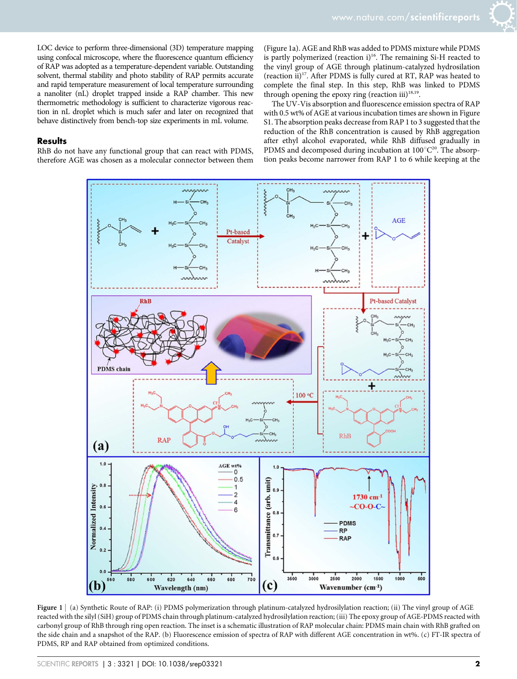LOC device to perform three-dimensional (3D) temperature mapping using confocal microscope, where the fluorescence quantum efficiency of RAP was adopted as a temperature-dependent variable. Outstanding solvent, thermal stability and photo stability of RAP permits accurate and rapid temperature measurement of local temperature surrounding a nanoliter (nL) droplet trapped inside a RAP chamber. This new thermometric methodology is sufficient to characterize vigorous reaction in nL droplet which is much safer and later on recognized that behave distinctively from bench-top size experiments in mL volume.

RhB do not have any functional group that can react with PDMS, therefore AGE was chosen as a molecular connector between them

**Results** 

(Figure 1a). AGE and RhB was added to PDMS mixture while PDMS is partly polymerized (reaction  $i$ )<sup>16</sup>. The remaining Si-H reacted to the vinyl group of AGE through platinum-catalyzed hydrosilation (reaction ii)17. After PDMS is fully cured at RT, RAP was heated to complete the final step. In this step, RhB was linked to PDMS through opening the epoxy ring (reaction iii) $18,19$ .

The UV-Vis absorption and fluorescence emission spectra of RAP with 0.5 wt% of AGE at various incubation times are shown in Figure S1. The absorption peaks decrease from RAP 1 to 3 suggested that the reduction of the RhB concentration is caused by RhB aggregation after ethyl alcohol evaporated, while RhB diffused gradually in PDMS and decomposed during incubation at  $100^{\circ}C^{20}$ . The absorption peaks become narrower from RAP 1 to 6 while keeping at the



Figure 1 | (a) Synthetic Route of RAP: (i) PDMS polymerization through platinum-catalyzed hydrosilylation reaction; (ii) The vinyl group of AGE reacted with the silyl (SiH) group of PDMS chain through platinum-catalyzed hydrosilylation reaction; (iii) The epoxy group of AGE-PDMS reacted with carbonyl group of RhB through ring open reaction. The inset is a schematic illustration of RAP molecular chain: PDMS main chain with RhB grafted on the side chain and a snapshot of the RAP. (b) Fluorescence emission of spectra of RAP with different AGE concentration in wt%. (c) FT-IR spectra of PDMS, RP and RAP obtained from optimized conditions.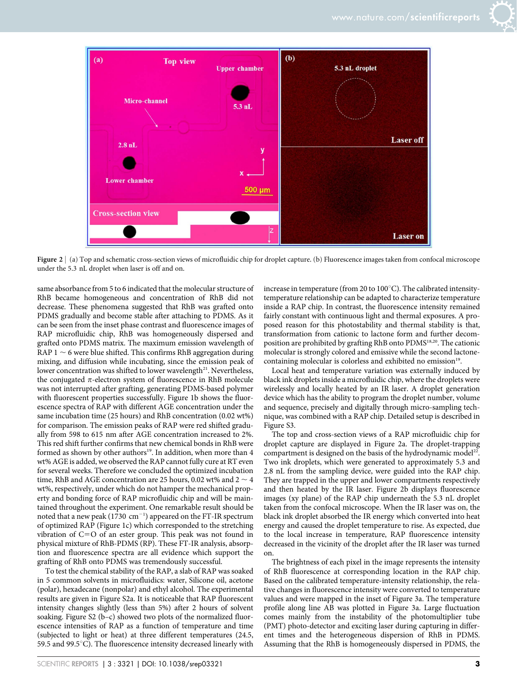



Figure 2 | (a) Top and schematic cross-section views of microfluidic chip for droplet capture. (b) Fluorescence images taken from confocal microscope under the 5.3 nL droplet when laser is off and on.

same absorbance from 5 to 6 indicated that the molecular structure of RhB became homogeneous and concentration of RhB did not decrease. These phenomena suggested that RhB was grafted onto PDMS gradually and become stable after attaching to PDMS. As it can be seen from the inset phase contrast and fluorescence images of RAP microfluidic chip, RhB was homogeneously dispersed and grafted onto PDMS matrix. The maximum emission wavelength of RAP  $1 \sim 6$  were blue shifted. This confirms RhB aggregation during mixing, and diffusion while incubating, since the emission peak of lower concentration was shifted to lower wavelength<sup>21</sup>. Nevertheless, the conjugated  $\pi$ -electron system of fluorescence in RhB molecule was not interrupted after grafting, generating PDMS-based polymer with fluorescent properties successfully. Figure 1b shows the fluorescence spectra of RAP with different AGE concentration under the same incubation time (25 hours) and RhB concentration (0.02 wt%) for comparison. The emission peaks of RAP were red shifted gradually from 598 to 615 nm after AGE concentration increased to 2%. This red shift further confirms that new chemical bonds in RhB were formed as shown by other authors<sup>19</sup>. In addition, when more than 4 wt% AGE is added, we observed the RAP cannot fully cure at RT even for several weeks. Therefore we concluded the optimized incubation time, RhB and AGE concentration are 25 hours, 0.02 wt% and  $2 \sim 4$ wt%, respectively, under which do not hamper the mechanical property and bonding force of RAP microfluidic chip and will be maintained throughout the experiment. One remarkable result should be noted that a new peak  $(1730 \text{ cm}^{-1})$  appeared on the FT-IR spectrum of optimized RAP (Figure 1c) which corresponded to the stretching vibration of C=O of an ester group. This peak was not found in physical mixture of RhB-PDMS (RP). These FT-IR analysis, absorption and fluorescence spectra are all evidence which support the grafting of RhB onto PDMS was tremendously successful.

To test the chemical stability of the RAP, a slab of RAP was soaked in 5 common solvents in microfluidics: water, Silicone oil, acetone (polar), hexadecane (nonpolar) and ethyl alcohol. The experimental results are given in Figure S2a. It is noticeable that RAP fluorescent intensity changes slightly (less than 5%) after 2 hours of solvent soaking. Figure S2 (b–c) showed two plots of the normalized fluorescence intensities of RAP as a function of temperature and time (subjected to light or heat) at three different temperatures (24.5, 59.5 and 99.5 $^{\circ}$ C). The fluorescence intensity decreased linearly with

increase in temperature (from 20 to  $100^{\circ}$ C). The calibrated intensitytemperature relationship can be adapted to characterize temperature inside a RAP chip. In contrast, the fluorescence intensity remained fairly constant with continuous light and thermal exposures. A proposed reason for this photostability and thermal stability is that, transformation from cationic to lactone form and further decomposition are prohibited by grafting RhB onto PDMS<sup>18,20</sup>. The cationic molecular is strongly colored and emissive while the second lactonecontaining molecular is colorless and exhibited no emission<sup>19</sup>.

Local heat and temperature variation was externally induced by black ink droplets inside a microfluidic chip, where the droplets were wirelessly and locally heated by an IR laser. A droplet generation device which has the ability to program the droplet number, volume and sequence, precisely and digitally through micro-sampling technique, was combined with a RAP chip. Detailed setup is described in Figure S3.

The top and cross-section views of a RAP microfluidic chip for droplet capture are displayed in Figure 2a. The droplet-trapping compartment is designed on the basis of the hydrodynamic model<sup>22</sup>. Two ink droplets, which were generated to approximately 5.3 and 2.8 nL from the sampling device, were guided into the RAP chip. They are trapped in the upper and lower compartments respectively and then heated by the IR laser. Figure 2b displays fluorescence images (xy plane) of the RAP chip underneath the 5.3 nL droplet taken from the confocal microscope. When the IR laser was on, the black ink droplet absorbed the IR energy which converted into heat energy and caused the droplet temperature to rise. As expected, due to the local increase in temperature, RAP fluorescence intensity decreased in the vicinity of the droplet after the IR laser was turned on.

The brightness of each pixel in the image represents the intensity of RhB fluorescence at corresponding location in the RAP chip. Based on the calibrated temperature-intensity relationship, the relative changes in fluorescence intensity were converted to temperature values and were mapped in the inset of Figure 3a. The temperature profile along line AB was plotted in Figure 3a. Large fluctuation comes mainly from the instability of the photomultiplier tube (PMT) photo-detector and exciting laser during capturing in different times and the heterogeneous dispersion of RhB in PDMS. Assuming that the RhB is homogeneously dispersed in PDMS, the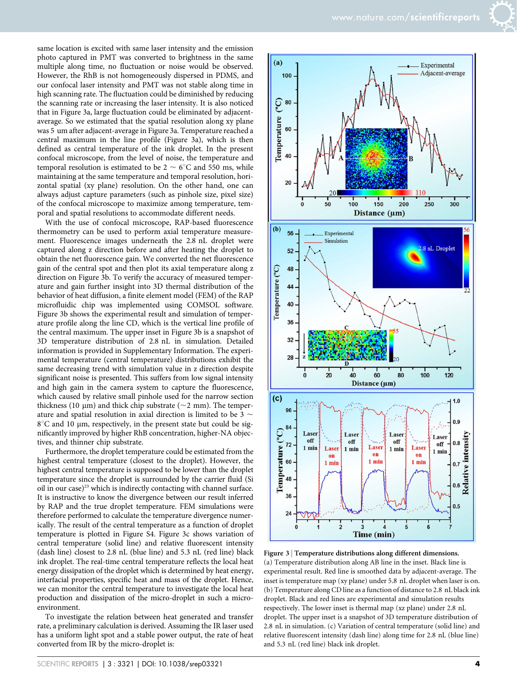

same location is excited with same laser intensity and the emission photo captured in PMT was converted to brightness in the same multiple along time, no fluctuation or noise would be observed. However, the RhB is not homogeneously dispersed in PDMS, and our confocal laser intensity and PMT was not stable along time in high scanning rate. The fluctuation could be diminished by reducing the scanning rate or increasing the laser intensity. It is also noticed that in Figure 3a, large fluctuation could be eliminated by adjacentaverage. So we estimated that the spatial resolution along xy plane was 5 um after adjacent-average in Figure 3a. Temperature reached a central maximum in the line profile (Figure 3a), which is then defined as central temperature of the ink droplet. In the present confocal microscope, from the level of noise, the temperature and temporal resolution is estimated to be  $2 \sim 6^{\circ}$ C and 550 ms, while maintaining at the same temperature and temporal resolution, horizontal spatial (xy plane) resolution. On the other hand, one can always adjust capture parameters (such as pinhole size, pixel size) of the confocal microscope to maximize among temperature, temporal and spatial resolutions to accommodate different needs.

With the use of confocal microscope, RAP-based fluorescence thermometry can be used to perform axial temperature measurement. Fluorescence images underneath the 2.8 nL droplet were captured along z direction before and after heating the droplet to obtain the net fluorescence gain. We converted the net fluorescence gain of the central spot and then plot its axial temperature along z direction on Figure 3b. To verify the accuracy of measured temperature and gain further insight into 3D thermal distribution of the behavior of heat diffusion, a finite element model (FEM) of the RAP microfluidic chip was implemented using COMSOL software. Figure 3b shows the experimental result and simulation of temperature profile along the line CD, which is the vertical line profile of the central maximum. The upper inset in Figure 3b is a snapshot of 3D temperature distribution of 2.8 nL in simulation. Detailed information is provided in Supplementary Information. The experimental temperature (central temperature) distributions exhibit the same decreasing trend with simulation value in z direction despite significant noise is presented. This suffers from low signal intensity and high gain in the camera system to capture the fluorescence, which caused by relative small pinhole used for the narrow section thickness (10  $\mu$ m) and thick chip substrate ( $\sim$ 2 mm). The temperature and spatial resolution in axial direction is limited to be 3  $\sim$  $8^{\circ}$ C and 10 µm, respectively, in the present state but could be significantly improved by higher RhB concentration, higher-NA objectives, and thinner chip substrate.

Furthermore, the droplet temperature could be estimated from the highest central temperature (closest to the droplet). However, the highest central temperature is supposed to be lower than the droplet temperature since the droplet is surrounded by the carrier fluid (Si oil in our case)<sup>23</sup> which is indirectly contacting with channel surface. It is instructive to know the divergence between our result inferred by RAP and the true droplet temperature. FEM simulations were therefore performed to calculate the temperature divergence numerically. The result of the central temperature as a function of droplet temperature is plotted in Figure S4. Figure 3c shows variation of central temperature (solid line) and relative fluorescent intensity (dash line) closest to 2.8 nL (blue line) and 5.3 nL (red line) black ink droplet. The real-time central temperature reflects the local heat energy dissipation of the droplet which is determined by heat energy, interfacial properties, specific heat and mass of the droplet. Hence, we can monitor the central temperature to investigate the local heat production and dissipation of the micro-droplet in such a microenvironment.

To investigate the relation between heat generated and transfer rate, a preliminary calculation is derived. Assuming the IR laser used has a uniform light spot and a stable power output, the rate of heat converted from IR by the micro-droplet is:



Figure 3 | Temperature distributions along different dimensions. (a) Temperature distribution along AB line in the inset. Black line is experimental result. Red line is smoothed data by adjacent-average. The inset is temperature map (xy plane) under 5.8 nL droplet when laser is on. (b) Temperature along CD line as a function of distance to 2.8 nL black ink droplet. Black and red lines are experimental and simulation results respectively. The lower inset is thermal map (xz plane) under 2.8 nL droplet. The upper inset is a snapshot of 3D temperature distribution of 2.8 nL in simulation. (c) Variation of central temperature (solid line) and relative fluorescent intensity (dash line) along time for 2.8 nL (blue line) and 5.3 nL (red line) black ink droplet.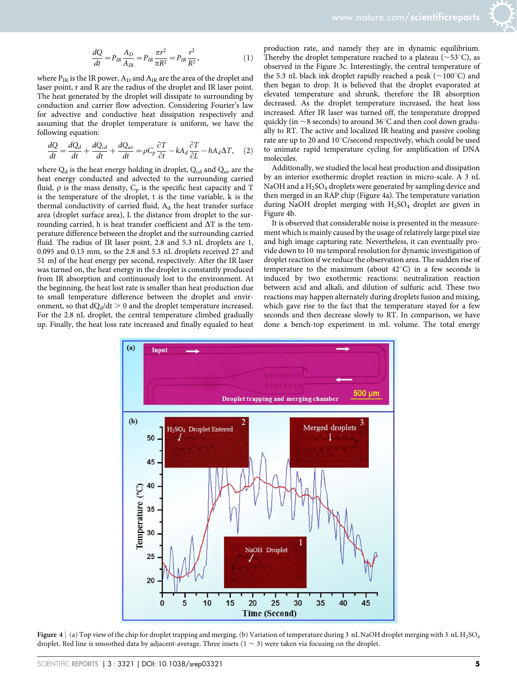$$
\frac{dQ}{dt} = P_{IR} \frac{A_D}{A_{IR}} = P_{IR} \frac{\pi r^2}{\pi R^2} = P_{IR} \frac{r^2}{R^2},
$$
\n(1) Prove  
\n
$$
\text{Prove}
$$

where  $P_{IR}$  is the IR power,  $A_D$  and  $A_{IR}$  are the area of the droplet and laser point, r and R are the radius of the droplet and IR laser point. The heat generated by the droplet will dissipate to surrounding by conduction and carrier flow advection. Considering Fourier's law for advective and conductive heat dissipation respectively and assuming that the droplet temperature is uniform, we have the following equation:

$$
\frac{dQ}{dt} = \frac{dQ_d}{dt} + \frac{dQ_{cd}}{dt} + \frac{dQ_{av}}{dt} = \rho C_p \frac{\partial T}{\partial t} - kA_d \frac{\partial T}{\partial L} - hA_d \Delta T, \quad (2)
$$

where  $Q_d$  is the heat energy holding in droplet,  $Q_{cd}$  and  $Q_{av}$  are the heat energy conducted and advected to the surrounding carried fluid,  $\rho$  is the mass density,  $C_p$  is the specific heat capacity and T is the temperature of the droplet, t is the time variable, k is the thermal conductivity of carried fluid,  $A_d$  the heat transfer surface area (droplet surface area), L the distance from droplet to the surrounding carried, h is heat transfer coefficient and  $\Delta T$  is the temperature difference between the droplet and the surrounding carried fluid. The radius of IR laser point, 2.8 and 5.3 nL droplets are 1, 0.095 and 0.13 mm, so the 2.8 and 5.3 nL droplets received 27 and 51 mJ of the heat energy per second, respectively. After the IR laser was turned on, the heat energy in the droplet is constantly produced from IR absorption and continuously lost to the environment. At the beginning, the heat lost rate is smaller than heat production due to small temperature difference between the droplet and environment, so that  $dQ_d/dt > 0$  and the droplet temperature increased. For the 2.8 nL droplet, the central temperature climbed gradually up. Finally, the heat loss rate increased and finally equaled to heat

duction rate, and namely they are in dynamic equilibrium. ereby the droplet temperature reached to a plateau ( $\sim$ 53°C), as observed in the Figure 3c. Interestingly, the central temperature of the 5.3 nL black ink droplet rapidly reached a peak ( $\sim$ 100 $^{\circ}$ C) and then began to drop. It is believed that the droplet evaporated at elevated temperature and shrunk, therefore the IR absorption decreased. As the droplet temperature increased, the heat loss increased. After IR laser was turned off, the temperature dropped quickly (in  $\sim$ 8 seconds) to around 36 $\degree$ C and then cool down gradually to RT. The active and localized IR heating and passive cooling rate are up to 20 and  $10^{\circ}$ C/second respectively, which could be used to animate rapid temperature cycling for amplification of DNA molecules.

Additionally, we studied the local heat production and dissipation by an interior exothermic droplet reaction in micro-scale. A 3 nL NaOH and a H<sub>2</sub>SO<sub>4</sub> droplets were generated by sampling device and then merged in an RAP chip (Figure 4a). The temperature variation during NaOH droplet merging with  $H_2SO_4$  droplet are given in Figure 4b.

It is observed that considerable noise is presented in the measurement which is mainly caused by the usage of relatively large pixel size and high image capturing rate. Nevertheless, it can eventually provide down to 10 ms temporal resolution for dynamic investigation of droplet reaction if we reduce the observation area. The sudden rise of temperature to the maximum (about  $42^{\circ}$ C) in a few seconds is induced by two exothermic reactions: neutralization reaction between acid and alkali, and dilution of sulfuric acid. These two reactions may happen alternately during droplets fusion and mixing, which gave rise to the fact that the temperature stayed for a few seconds and then decrease slowly to RT. In comparison, we have done a bench-top experiment in mL volume. The total energy



Figure 4 | (a) Top view of the chip for droplet trapping and merging. (b) Variation of temperature during 3 nL NaOH droplet merging with 3 nL H<sub>2</sub>SO<sub>4</sub> droplet. Red line is smoothed data by adjacent-average. Three insets  $(1 \sim 3)$  were taken via focusing on the droplet.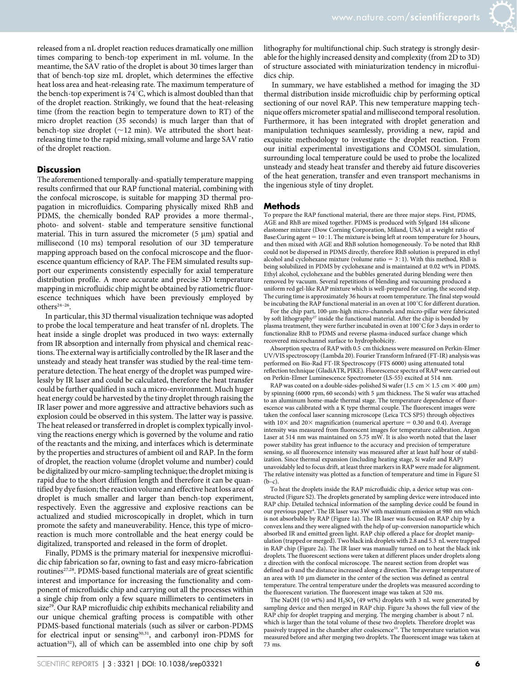released from a nL droplet reaction reduces dramatically one million times comparing to bench-top experiment in mL volume. In the meantime, the SAV ratio of the droplet is about 30 times larger than that of bench-top size mL droplet, which determines the effective heat loss area and heat-releasing rate. The maximum temperature of the bench-top experiment is  $74^{\circ}$ C, which is almost doubled than that of the droplet reaction. Strikingly, we found that the heat-releasing time (from the reaction begin to temperature down to RT) of the micro droplet reaction (35 seconds) is much larger than that of bench-top size droplet ( $\sim$ 12 min). We attributed the short heatreleasing time to the rapid mixing, small volume and large SAV ratio of the droplet reaction.

#### **Discussion**

The aforementioned temporally-and-spatially temperature mapping results confirmed that our RAP functional material, combining with the confocal microscope, is suitable for mapping 3D thermal propagation in microfluidics. Comparing physically mixed RhB and PDMS, the chemically bonded RAP provides a more thermal-, photo- and solvent- stable and temperature sensitive functional material. This in turn assured the micrometer  $(5 \mu m)$  spatial and millisecond (10 ms) temporal resolution of our 3D temperature mapping approach based on the confocal microscope and the fluorescence quantum efficiency of RAP. The FEM simulated results support our experiments consistently especially for axial temperature distribution profile. A more accurate and precise 3D temperature mapping in microfluidic chip might be obtained by ratiometric fluorescence techniques which have been previously employed by  $\rm others^{24-26}.$ 

In particular, this 3D thermal visualization technique was adopted to probe the local temperature and heat transfer of nL droplets. The heat inside a single droplet was produced in two ways: externally from IR absorption and internally from physical and chemical reactions. The external way is artificially controlled by the IR laser and the unsteady and steady heat transfer was studied by the real-time temperature detection. The heat energy of the droplet was pumped wirelessly by IR laser and could be calculated, therefore the heat transfer could be further qualified in such a micro-environment. Much huger heat energy could be harvested by the tiny droplet through raising the IR laser power and more aggressive and attractive behaviors such as explosion could be observed in this system. The latter way is passive. The heat released or transferred in droplet is complex typically involving the reactions energy which is governed by the volume and ratio of the reactants and the mixing, and interfaces which is determinate by the properties and structures of ambient oil and RAP. In the form of droplet, the reaction volume (droplet volume and number) could be digitalized by our micro-sampling technique; the droplet mixing is rapid due to the short diffusion length and therefore it can be quantified by dye fusion; the reaction volume and effective heat loss area of droplet is much smaller and larger than bench-top experiment, respectively. Even the aggressive and explosive reactions can be actualized and studied microscopically in droplet, which in turn promote the safety and maneuverability. Hence, this type of microreaction is much more controllable and the heat energy could be digitalized, transported and released in the form of droplet.

Finally, PDMS is the primary material for inexpensive microfluidic chip fabrication so far, owning to fast and easy micro-fabrication routines<sup>27,28</sup>. PDMS-based functional materials are of great scientific interest and importance for increasing the functionality and component of microfluidic chip and carrying out all the processes within a single chip from only a few square millimeters to centimeters in size<sup>29</sup>. Our RAP microfluidic chip exhibits mechanical reliability and our unique chemical grafting process is compatible with other PDMS-based functional materials (such as silver or carbon-PDMS for electrical input or sensing<sup>30,31</sup>, and carbonyl iron-PDMS for actuation $32$ ), all of which can be assembled into one chip by soft

lithography for multifunctional chip. Such strategy is strongly desirable for the highly increased density and complexity (from 2D to 3D) of structure associated with miniaturization tendency in microfluidics chip.

In summary, we have established a method for imaging the 3D thermal distribution inside microfluidic chip by performing optical sectioning of our novel RAP. This new temperature mapping technique offers micrometer spatial and millisecond temporal resolution. Furthermore, it has been integrated with droplet generation and manipulation techniques seamlessly, providing a new, rapid and exquisite methodology to investigate the droplet reaction. From our initial experimental investigations and COMSOL simulation, surrounding local temperature could be used to probe the localized unsteady and steady heat transfer and thereby aid future discoveries of the heat generation, transfer and even transport mechanisms in the ingenious style of tiny droplet.

#### **Methods**

To prepare the RAP functional material, there are three major steps. First, PDMS, AGE and RhB are mixed together. PDMS is produced with Sylgard 184 silicone elastomer mixture (Dow Corning Corporation, Miland, USA) at a weight ratio of Base:Curing agent =  $10:1$ . The mixture is being left at room temperature for 3 hours, and then mixed with AGE and RhB solution homogeneously. To be noted that RhB could not be dispersed in PDMS directly, therefore RhB solution is prepared in ethyl alcohol and cyclohexane mixture (volume ratio  $= 3:1$ ). With this method, RhB is being solubilized in PDMS by cyclohexane and is maintained at 0.02 wt% in PDMS. Ethyl alcohol, cyclohexane and the bubbles generated during blending were then removed by vacuum. Several repetitions of blending and vacuuming produced a uniform red gel-like RAP mixture which is well-prepared for curing, the second step. The curing time is approximately 36 hours at room temperature. The final step would be incubating the RAP functional material in an oven at  $100^{\circ}$ C for different duration.

For the chip part,  $100$ - $\mu$ m-high micro-channels and micro-pillar were fabricated by soft lithography<sup>27</sup> inside the functional material. After the chip is bonded by plasma treatment, they were further incubated in oven at  $100^{\circ}$ C for 3 days in order to functionalize RhB to PDMS and reverse plasma-induced surface change which recovered microchannel surface to hydrophobicity.

Absorption spectra of RAP with 0.5 cm thickness were measured on Perkin-Elmer UV/VIS spectroscopy (Lambda 20). Fourier Transform Infrared (FT-IR) analysis was performed on Bio-Rad FT-IR Spectroscopy (FTS 6000) using attenuated total reflection technique (GladiATR, PIKE). Fluorescence spectra of RAP were carried out on Perkin-Elmer Luminescence Spectrometer (LS-55) excited at 514 nm.

RAP was coated on a double-sides-polished Si wafer (1.5 cm  $\times$  1.5 cm  $\times$  400  $\mu$ m) by spinning (6000 rpm, 60 seconds) with 5  $\mu$ m thickness. The Si wafer was attached to an aluminum home-made thermal stage. The temperature dependence of fluorescence was calibrated with a K type thermal couple. The fluorescent images were taken the confocal laser scanning microscope (Leica TCS SP5) through objectives with  $10\times$  and  $20\times$  magnification (numerical aperture = 0.30 and 0.4). Average intensity was measured from fluorescent images for temperature calibration. Argon Laser at 514 nm was maintained on 5.75 mW. It is also worth noted that the laser power stability has great influence to the accuracy and precision of temperature sensing, so all fluorescence intensity was measured after at least half hour of stabilization. Since thermal expansion (including heating stage, Si wafer and RAP) unavoidably led to focus drift, at least three markers in RAP were made for alignment. The relative intensity was plotted as a function of temperature and time in Figure S1  $(b-c)$ .

To heat the droplets inside the RAP microfluidic chip, a device setup was constructed (Figure S2). The droplets generated by sampling device were introduced into RAP chip. Detailed technical information of the sampling device could be found in our previous paper<sup>4</sup>. The IR laser was 3W with maximum emission at 980 nm which is not absorbable by RAP (Figure 1a). The IR laser was focused on RAP chip by a convex lens and they were aligned with the help of up-conversion nanoparticle which absorbed IR and emitted green light. RAP chip offered a place for droplet manipulation (trapped or merged). Two black ink droplets with 2.8 and 5.3 nL were trapped in RAP chip (Figure 2a). The IR laser was manually turned on to heat the black ink droplets. The fluorescent sections were taken at different places under droplets along z direction with the confocal microscope. The nearest section from droplet was defined as 0 and the distance increased along z direction. The average temperature of an area with 10 um diameter in the center of the section was defined as central temperature. The central temperature under the droplets was measured according to the fluorescent variation. The fluorescent image was taken at 520 ms.

The NaOH (10 wt%) and  $H_2SO_4$  (49 wt%) droplets with 3 nL were generated by sampling device and then merged in RAP chip. Figure 3a shows the full view of the RAP chip for droplet trapping and merging. The merging chamber is about 7 nL which is larger than the total volume of these two droplets. Therefore droplet was passively trapped in the chamber after coalescence<sup>33</sup>. The temperature variation was measured before and after merging two droplets. The fluorescent image was taken at 73 ms.